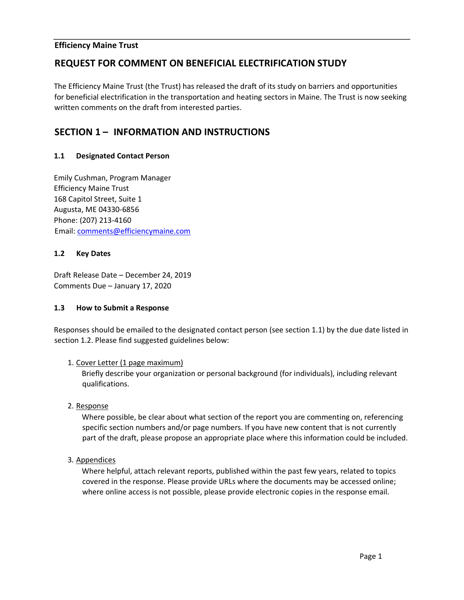### **Efficiency Maine Trust**

# **REQUEST FOR COMMENT ON BENEFICIAL ELECTRIFICATION STUDY**

The Efficiency Maine Trust (the Trust) has released the draft of its study on barriers and opportunities for beneficial electrification in the transportation and heating sectors in Maine. The Trust is now seeking written comments on the draft from interested parties.

# **SECTION 1 – INFORMATION AND INSTRUCTIONS**

### **1.1 Designated Contact Person**

Emily Cushman, Program Manager Efficiency Maine Trust 168 Capitol Street, Suite 1 Augusta, ME 04330-6856 Phone: (207) 213-4160 Email: comments@efficiencymaine.com

### **1.2 Key Dates**

Draft Release Date – December 24, 2019 Comments Due – January 17, 2020

### **1.3 How to Submit a Response**

Responses should be emailed to the designated contact person (see section 1.1) by the due date listed in section 1.2. Please find suggested guidelines below:

### 1. Cover Letter (1 page maximum)

Briefly describe your organization or personal background (for individuals), including relevant qualifications.

2. Response

Where possible, be clear about what section of the report you are commenting on, referencing specific section numbers and/or page numbers. If you have new content that is not currently part of the draft, please propose an appropriate place where this information could be included.

3. Appendices

Where helpful, attach relevant reports, published within the past few years, related to topics covered in the response. Please provide URLs where the documents may be accessed online; where online access is not possible, please provide electronic copies in the response email.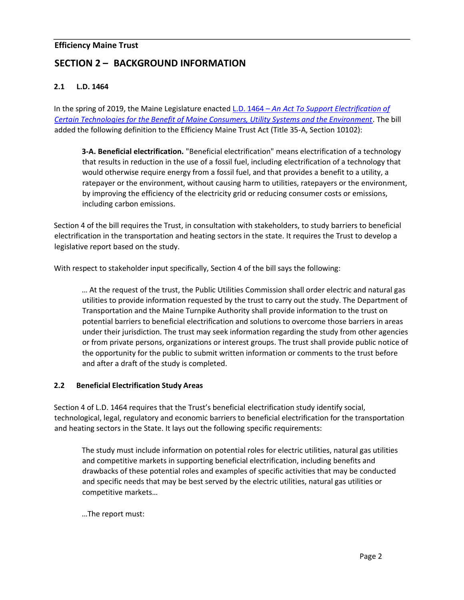### **Efficiency Maine Trust**

# **SECTION 2 – BACKGROUND INFORMATION**

### **2.1 L.D. 1464**

In the spring of 2019, the Maine Legislature enacte[d](http://www.mainelegislature.org/legis/bills/getPDF.asp?paper=HP1071&item=3&snum=129) [L.D. 1464](http://www.mainelegislature.org/legis/bills/getPDF.asp?paper=HP1071&item=3&snum=129) [–](http://www.mainelegislature.org/legis/bills/getPDF.asp?paper=HP1071&item=3&snum=129) *[An Act To Support Electrification of](http://www.mainelegislature.org/legis/bills/getPDF.asp?paper=HP1071&item=3&snum=129) [Certain Technologies for the Benefit of Maine Consumers, Utility Systems and the Environment](http://www.mainelegislature.org/legis/bills/getPDF.asp?paper=HP1071&item=3&snum=129)*[.](http://www.mainelegislature.org/legis/bills/getPDF.asp?paper=HP1071&item=3&snum=129) The bill added the following definition to the Efficiency Maine Trust Act (Title 35-A, Section 10102):

**3-A. Beneficial electrification.** "Beneficial electrification" means electrification of a technology that results in reduction in the use of a fossil fuel, including electrification of a technology that would otherwise require energy from a fossil fuel, and that provides a benefit to a utility, a ratepayer or the environment, without causing harm to utilities, ratepayers or the environment, by improving the efficiency of the electricity grid or reducing consumer costs or emissions, including carbon emissions.

Section 4 of the bill requires the Trust, in consultation with stakeholders, to study barriers to beneficial electrification in the transportation and heating sectors in the state. It requires the Trust to develop a legislative report based on the study.

With respect to stakeholder input specifically, Section 4 of the bill says the following:

… At the request of the trust, the Public Utilities Commission shall order electric and natural gas utilities to provide information requested by the trust to carry out the study. The Department of Transportation and the Maine Turnpike Authority shall provide information to the trust on potential barriers to beneficial electrification and solutions to overcome those barriers in areas under their jurisdiction. The trust may seek information regarding the study from other agencies or from private persons, organizations or interest groups. The trust shall provide public notice of the opportunity for the public to submit written information or comments to the trust before and after a draft of the study is completed.

### **2.2 Beneficial Electrification Study Areas**

Section 4 of L.D. 1464 requires that the Trust's beneficial electrification study identify social, technological, legal, regulatory and economic barriers to beneficial electrification for the transportation and heating sectors in the State. It lays out the following specific requirements:

The study must include information on potential roles for electric utilities, natural gas utilities and competitive markets in supporting beneficial electrification, including benefits and drawbacks of these potential roles and examples of specific activities that may be conducted and specific needs that may be best served by the electric utilities, natural gas utilities or competitive markets…

…The report must: